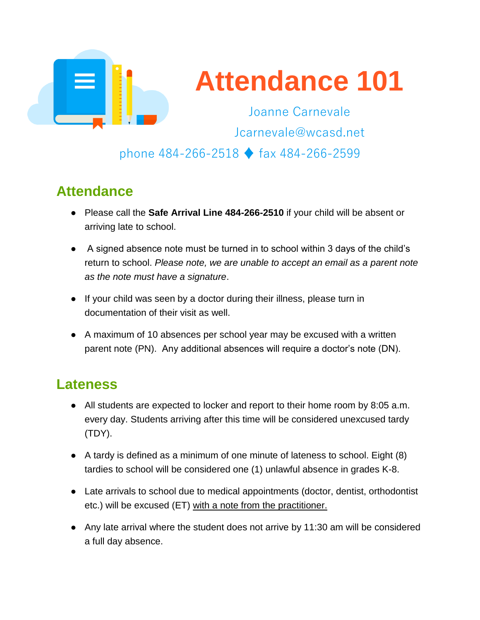

# **Attendance 101**

Joanne Carnevale Jcarnevale@wcasd.net

#### phone 484-266-2518 ♦ fax 484-266-2599

# **Attendance**

- Please call the **Safe Arrival Line 484-266-2510** if your child will be absent or arriving late to school.
- A signed absence note must be turned in to school within 3 days of the child's return to school. *Please note, we are unable to accept an email as a parent note as the note must have a signature*.
- If your child was seen by a doctor during their illness, please turn in documentation of their visit as well.
- A maximum of 10 absences per school year may be excused with a written parent note (PN). Any additional absences will require a doctor's note (DN).

# **Lateness**

- All students are expected to locker and report to their home room by 8:05 a.m. every day. Students arriving after this time will be considered unexcused tardy (TDY).
- A tardy is defined as a minimum of one minute of lateness to school. Eight (8) tardies to school will be considered one (1) unlawful absence in grades K-8.
- Late arrivals to school due to medical appointments (doctor, dentist, orthodontist etc.) will be excused (ET) with a note from the practitioner.
- Any late arrival where the student does not arrive by 11:30 am will be considered a full day absence.